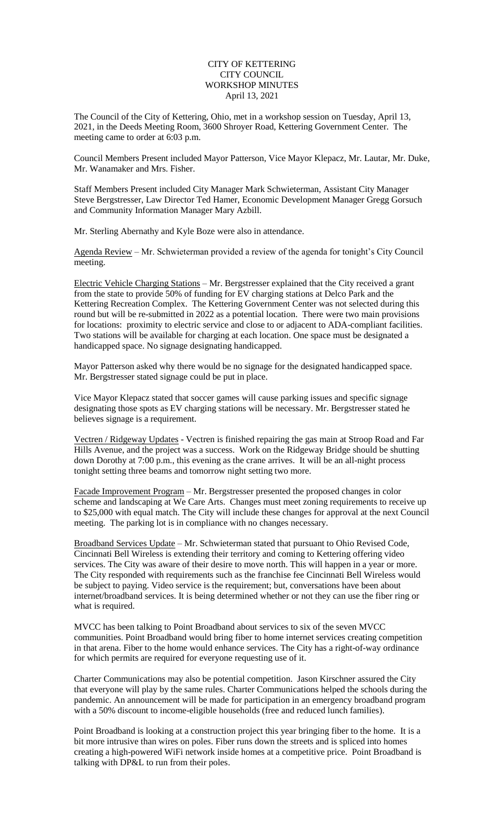## CITY OF KETTERING CITY COUNCIL WORKSHOP MINUTES April 13, 2021

The Council of the City of Kettering, Ohio, met in a workshop session on Tuesday, April 13, 2021, in the Deeds Meeting Room, 3600 Shroyer Road, Kettering Government Center. The meeting came to order at 6:03 p.m.

Council Members Present included Mayor Patterson, Vice Mayor Klepacz, Mr. Lautar, Mr. Duke, Mr. Wanamaker and Mrs. Fisher.

Staff Members Present included City Manager Mark Schwieterman, Assistant City Manager Steve Bergstresser, Law Director Ted Hamer, Economic Development Manager Gregg Gorsuch and Community Information Manager Mary Azbill.

Mr. Sterling Abernathy and Kyle Boze were also in attendance.

Agenda Review – Mr. Schwieterman provided a review of the agenda for tonight's City Council meeting.

Electric Vehicle Charging Stations – Mr. Bergstresser explained that the City received a grant from the state to provide 50% of funding for EV charging stations at Delco Park and the Kettering Recreation Complex. The Kettering Government Center was not selected during this round but will be re-submitted in 2022 as a potential location. There were two main provisions for locations: proximity to electric service and close to or adjacent to ADA-compliant facilities. Two stations will be available for charging at each location. One space must be designated a handicapped space. No signage designating handicapped.

Mayor Patterson asked why there would be no signage for the designated handicapped space. Mr. Bergstresser stated signage could be put in place.

Vice Mayor Klepacz stated that soccer games will cause parking issues and specific signage designating those spots as EV charging stations will be necessary. Mr. Bergstresser stated he believes signage is a requirement.

Vectren / Ridgeway Updates - Vectren is finished repairing the gas main at Stroop Road and Far Hills Avenue, and the project was a success. Work on the Ridgeway Bridge should be shutting down Dorothy at 7:00 p.m., this evening as the crane arrives. It will be an all-night process tonight setting three beams and tomorrow night setting two more.

Facade Improvement Program – Mr. Bergstresser presented the proposed changes in color scheme and landscaping at We Care Arts. Changes must meet zoning requirements to receive up to \$25,000 with equal match. The City will include these changes for approval at the next Council meeting. The parking lot is in compliance with no changes necessary.

Broadband Services Update - Mr. Schwieterman stated that pursuant to Ohio Revised Code, Cincinnati Bell Wireless is extending their territory and coming to Kettering offering video services. The City was aware of their desire to move north. This will happen in a year or more. The City responded with requirements such as the franchise fee Cincinnati Bell Wireless would be subject to paying. Video service is the requirement; but, conversations have been about internet/broadband services. It is being determined whether or not they can use the fiber ring or what is required.

MVCC has been talking to Point Broadband about services to six of the seven MVCC communities. Point Broadband would bring fiber to home internet services creating competition in that arena. Fiber to the home would enhance services. The City has a right-of-way ordinance for which permits are required for everyone requesting use of it.

Charter Communications may also be potential competition. Jason Kirschner assured the City that everyone will play by the same rules. Charter Communications helped the schools during the pandemic. An announcement will be made for participation in an emergency broadband program with a 50% discount to income-eligible households (free and reduced lunch families).

Point Broadband is looking at a construction project this year bringing fiber to the home. It is a bit more intrusive than wires on poles. Fiber runs down the streets and is spliced into homes creating a high-powered WiFi network inside homes at a competitive price. Point Broadband is talking with DP&L to run from their poles.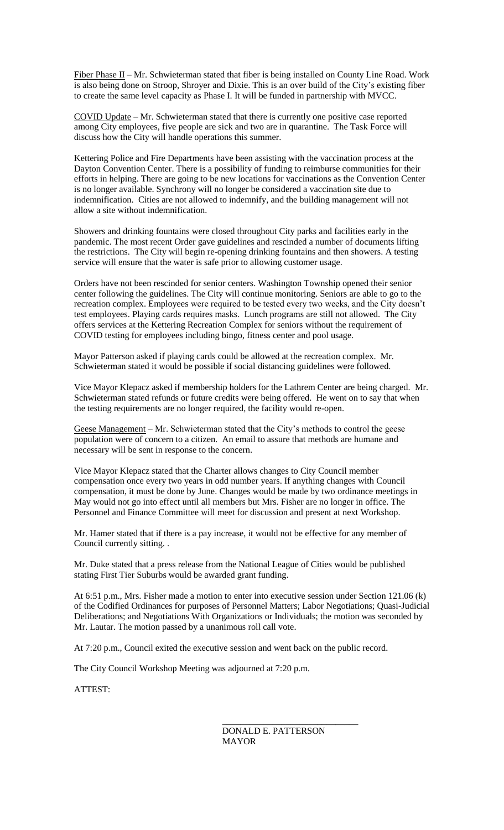Fiber Phase II – Mr. Schwieterman stated that fiber is being installed on County Line Road. Work is also being done on Stroop, Shroyer and Dixie. This is an over build of the City's existing fiber to create the same level capacity as Phase I. It will be funded in partnership with MVCC.

COVID Update – Mr. Schwieterman stated that there is currently one positive case reported among City employees, five people are sick and two are in quarantine. The Task Force will discuss how the City will handle operations this summer.

Kettering Police and Fire Departments have been assisting with the vaccination process at the Dayton Convention Center. There is a possibility of funding to reimburse communities for their efforts in helping. There are going to be new locations for vaccinations as the Convention Center is no longer available. Synchrony will no longer be considered a vaccination site due to indemnification. Cities are not allowed to indemnify, and the building management will not allow a site without indemnification.

Showers and drinking fountains were closed throughout City parks and facilities early in the pandemic. The most recent Order gave guidelines and rescinded a number of documents lifting the restrictions. The City will begin re-opening drinking fountains and then showers. A testing service will ensure that the water is safe prior to allowing customer usage.

Orders have not been rescinded for senior centers. Washington Township opened their senior center following the guidelines. The City will continue monitoring. Seniors are able to go to the recreation complex. Employees were required to be tested every two weeks, and the City doesn't test employees. Playing cards requires masks. Lunch programs are still not allowed. The City offers services at the Kettering Recreation Complex for seniors without the requirement of COVID testing for employees including bingo, fitness center and pool usage.

Mayor Patterson asked if playing cards could be allowed at the recreation complex. Mr. Schwieterman stated it would be possible if social distancing guidelines were followed.

Vice Mayor Klepacz asked if membership holders for the Lathrem Center are being charged. Mr. Schwieterman stated refunds or future credits were being offered. He went on to say that when the testing requirements are no longer required, the facility would re-open.

Geese Management – Mr. Schwieterman stated that the City's methods to control the geese population were of concern to a citizen. An email to assure that methods are humane and necessary will be sent in response to the concern.

Vice Mayor Klepacz stated that the Charter allows changes to City Council member compensation once every two years in odd number years. If anything changes with Council compensation, it must be done by June. Changes would be made by two ordinance meetings in May would not go into effect until all members but Mrs. Fisher are no longer in office. The Personnel and Finance Committee will meet for discussion and present at next Workshop.

Mr. Hamer stated that if there is a pay increase, it would not be effective for any member of Council currently sitting. .

Mr. Duke stated that a press release from the National League of Cities would be published stating First Tier Suburbs would be awarded grant funding.

At 6:51 p.m., Mrs. Fisher made a motion to enter into executive session under Section 121.06 (k) of the Codified Ordinances for purposes of Personnel Matters; Labor Negotiations; Quasi-Judicial Deliberations; and Negotiations With Organizations or Individuals; the motion was seconded by Mr. Lautar. The motion passed by a unanimous roll call vote.

At 7:20 p.m., Council exited the executive session and went back on the public record.

The City Council Workshop Meeting was adjourned at 7:20 p.m.

ATTEST:

\_\_\_\_\_\_\_\_\_\_\_\_\_\_\_\_\_\_\_\_\_\_\_\_\_\_\_\_\_\_ DONALD E. PATTERSON MAYOR